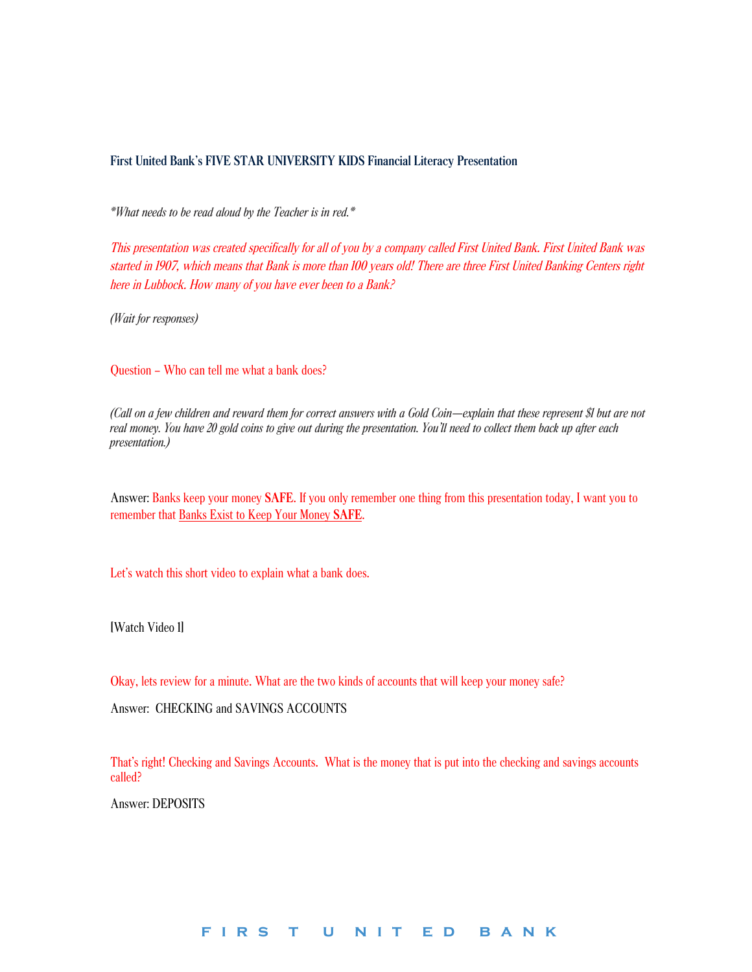

**First United Bank's FIVE STAR UNIVERSITY KIDS Financial Literacy Presentation**

*\*What needs to be read aloud by the Teacher is in red.\**

This presentation was created specifically for all of you by a company called First United Bank. First United Bank was started in 1907, which means that Bank is more than 100 years old! There are three First United Banking Centers right here in Lubbock. How many of you have ever been to a Bank?

*(Wait for responses)*

Question – Who can tell me what a bank does?

*(Call on a few children and reward them for correct answers with a Gold Coin—explain that these represent \$1 but are not real money. You have 20 gold coins to give out during the presentation. You'll need to collect them back up after each presentation.)*

Answer: Banks keep your money **SAFE**. If you only remember one thing from this presentation today, I want you to remember that Banks Exist to Keep Your Money **SAFE**.

Let's watch this short video to explain what a bank does.

[Watch Video 1]

Okay, lets review for a minute. What are the two kinds of accounts that will keep your money safe?

Answer: CHECKING and SAVINGS ACCOUNTS

That's right! Checking and Savings Accounts. What is the money that is put into the checking and savings accounts called?

**firs t u nit e d bank**

Answer: DEPOSITS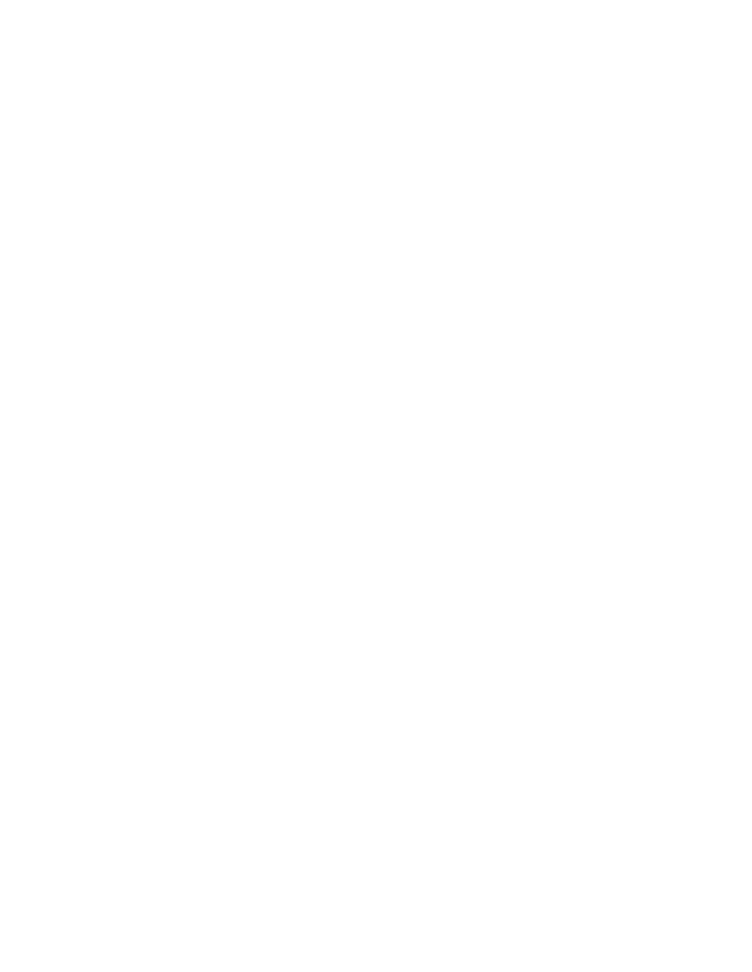

That's right. Deposits. Who can tell me what a LOAN is? Answer: When Bank's loan people money to buy the things they need such as cars, homes or to start a business.

What is the name of the small fee the Bank will charge you for loaning you money when you need it?

## Answer: INTEREST

Interest, that's right! Let me ask you another question. Why are banks important to our **community**?

Answer: Give time and money to charities and other non-profit organizations around the community.

o First United Bank employees are involved outside of the Bank.

o Banks donate money to really good community events and causes. In fact, First United Bank gave nearly \$1M to organizations and non-profits last year alone.

o That is enough money to buy:

- 100,000 pepperoni pizzas
- 8,334 American Girl Dolls
- 6,666 Xboxes
- 4,347 hover boards
- 2,000 iPads

o First United Bank is just ONE Bank! There are other community banks in Lubbock and all of them contribute time and money to charitable causes.

The bottom line is that banks are good for the community. Now that we know what banks do and how they help us, let's go back and look at how they got started. Let's watch this short video to learn more about the history of banks.

## [Watch Video 2]

Who signed the charter to establish the First Bank of the United States? Answer: President George Washington

President George Washington was the first President of the United States of America. Who can tell me which dollar bill President Washington is on? Answer: The \$1 bill

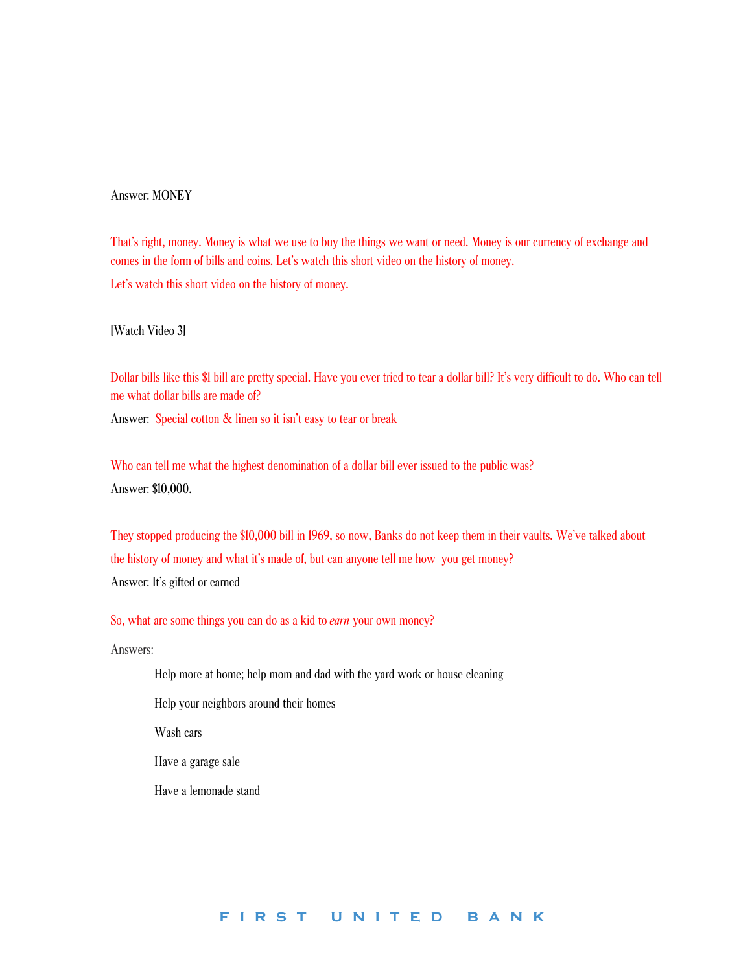

So, a \$1 bill, a quarter, a \$20 bill…. What are all of those things called? Answer: MONEY

That's right, money. Money is what we use to buy the things we want or need. Money is our currency of exchange and comes in the form of bills and coins. Let's watch this short video on the history of money. Let's watch this short video on the history of money.

## [Watch Video 3]

Dollar bills like this \$1 bill are pretty special. Have you ever tried to tear a dollar bill? It's very difficult to do. Who can tell me what dollar bills are made of?

Answer: Special cotton & linen so it isn't easy to tear or break

Who can tell me what the highest denomination of a dollar bill ever issued to the public was? Answer: \$10,000.

They stopped producing the \$10,000 bill in 1969, so now, Banks do not keep them in their vaults. We've talked about the history of money and what it's made of, but can anyone tell me how you get money? Answer: It's gifted or earned

So, what are some things you can do as a kid to *earn* your own money?

Answers:

Help more at home; help mom and dad with the yard work or house cleaning

Help your neighbors around their homes

Wash cars

Have a garage sale

Have a lemonade stand

**first united bank**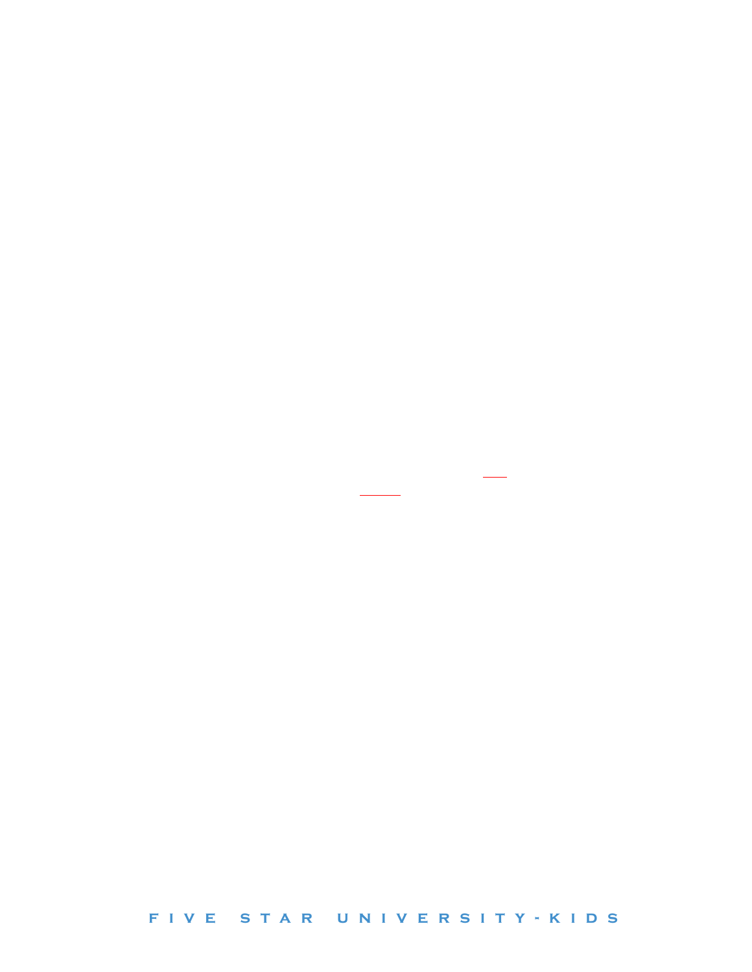

Those are all great answers! How many of you have heard of Lemonade Day?

This year, Lemonade Day looks a little different, but we still want to learn all about how to start a successful business so that when it is safe to have a Lemonade Stand again, you can start your own and be an ENTREPRENEUR. I just used a big word. Can anyone tell me what the word entrepreneur means?

Answer: An entrepreneur is a person who starts a business for the purpose of making a profit.

Let's look at some famous entrepreneurs:

Steve Jobs – Started Apple

Walt Disney – Started the Disney Company (Created Mickey Mouse & Disney World) Blake Buchanan – Bahama Bucks (started right here in Lubbock)

Katie School – Lemonade Day Entrepreneur\* who earned more than \$500 at Lemonade Day in 2015. Katie was only 10 years old at the time. That's just a year or so older than most of you.

So, an Entrepreneur is someone who starts a business for the purpose of making a profit. What is a profit? Answer: A profit is the money gained from sales after expenses are paid.

What are expenses?

Answer: Expenses are all the costs related to your business. Everything you spend money on to run your business.

We have a simple equation that we'll use today: Sales – Expenses = Profit (Write this on the board.)

Just for today, let's pretend that we are going to open our own Lemonade Stand. Who wants to open a Lemonade Stand with me? I'm looking for some volunteers to help out.

Who in the audience is the best leader? (Choose CEO to sit in a chair at the front of the room, give them CEO Badge.)

\_\_\_\_\_\_\_\_\_\_ is such a good leader that he/she is going to be our Chief Executive Officer (CEO) for our Lemonade Stand. He/She is responsible for overseeing the entire Lemonade Stand.

**fiv e s t ar uni v ersity-kids**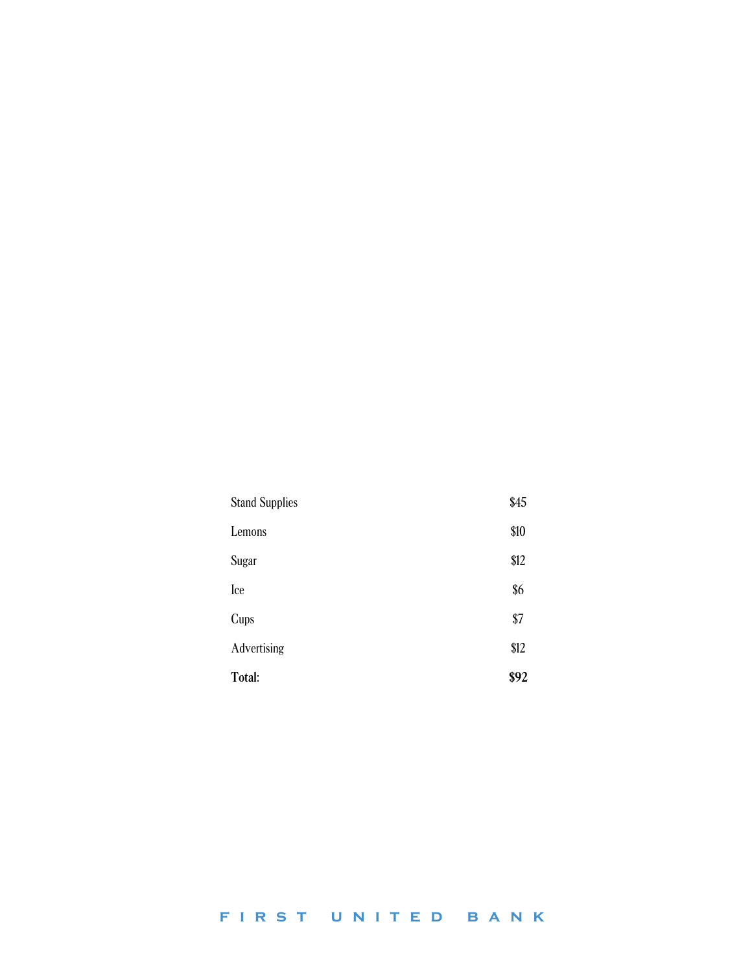

Who in the audience is the most creative? Who loves to draw/color? Who has the best ideas? (Choose a student to be the Marketing Director. Have them sit in another chair at the front of the room.)

\_\_\_\_\_\_\_\_\_\_ is so creative that he/she is going to be our Chief Marketing Officer for our Lemonade Stand. He/She is responsible for handling all the marketing and advertising.

Our Marketing Director is now going to name our Lemonade Stand. (They can get help from their classmates for this part.)

Now, we need someone who is good at Math and likes to work with numbers. (Choose a student, have them sit at the front of the room and give them the calculator.)

\_\_\_\_\_\_\_\_\_\_ is so good at math that he/she is going to be our Chief Financial Officer for our Lemonade Stand. He/She is responsible for handling all the finances.

Now that we've got a good leadership team, let's talk about some of the expenses we are going to have in starting up our Lemonade Stand Business. Our CFO is going to help us add up how much all of these supplies for our Stand will cost us. (Have CFO use calculator to add up prices for a total of \$92.)

| <b>Stand Supplies</b> | \$45 |
|-----------------------|------|
| Lemons                | \$10 |
| <b>Sugar</b>          | \$12 |
| Ice                   | \$6  |
| <b>Cups</b>           | \$7  |
| <b>Advertising</b>    | \$12 |
| Total:                | \$92 |

It looks like we'll need \$92 to purchase all the supplies needed to start our Lemonade Stand. So, how much money do we have? Well, let's see. Raise your hand if you have a gold coin.

I gave out about 20 gold coins today, so let's say we have \$20 to put towards out Lemonade Stand supplies. We have \$20, so we still need \$72 to purchase all our expenses needed to start our lemonade stand. Where are we going to get the rest of the money we need to start our stand?

**first united bank**

Answer: Get a LOAN from the BANK